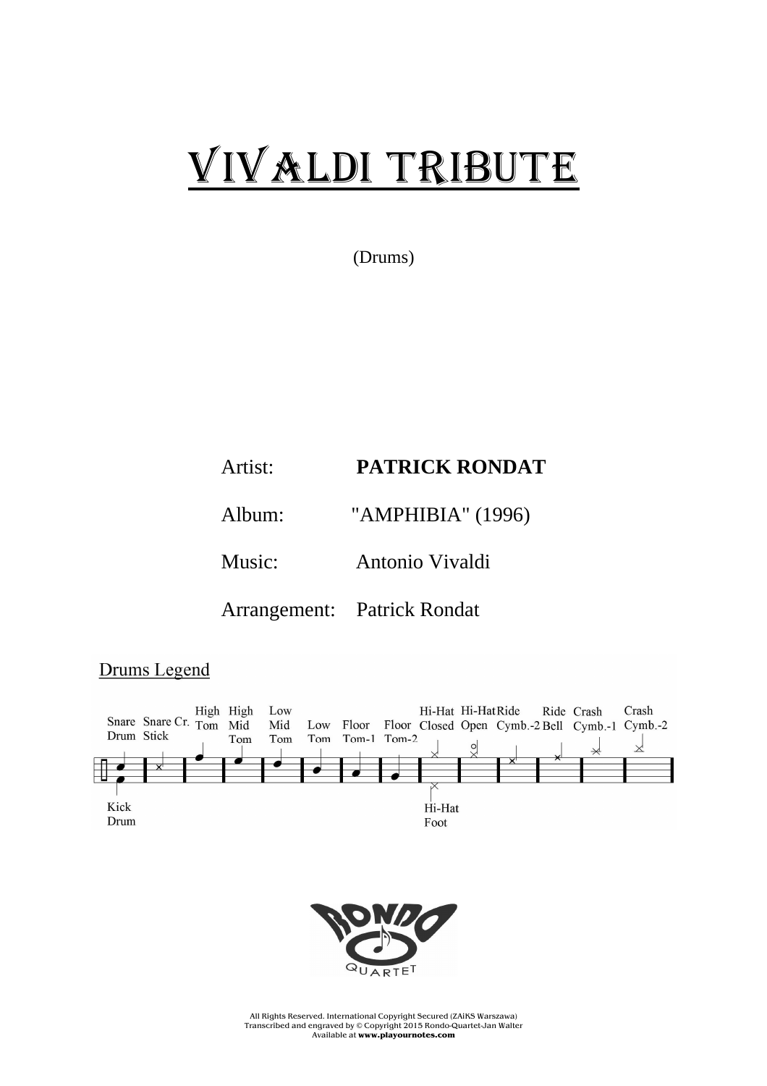## VIVALDI TRIBUTE

(Drums)

## Artist: **PATRICK RONDAT**

Album: "AMPHIBIA" (1996)

Music: Antonio Vivaldi

Arrangement: Patrick Rondat

Drums Legend





All Rights Reserved. International Copyright Secured (ZAiKS Warszawa) Transcribed and engraved by © Copyright 2015 Rondo-Quartet-Jan Walter Available at **www.playournotes.com**